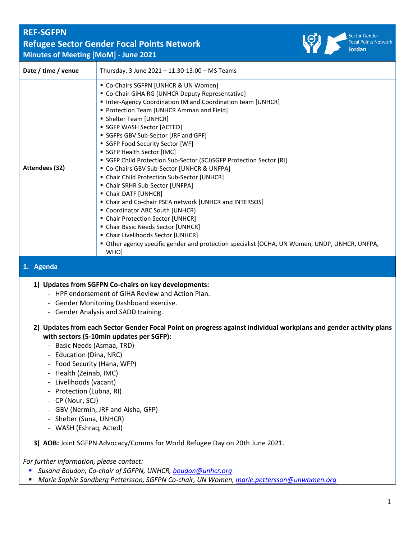# **REF-SGFPN Refugee Sector Gender Focal Points Network Minutes of Meeting [MoM] - June 2021**



| Date / time / venue | Thursday, 3 June 2021 - 11:30-13:00 - MS Teams                                                                                                                                                                                                                                                                                                                                                                                                                                                                                                                                                                                                                                                                                                                                                                                                                                                                |
|---------------------|---------------------------------------------------------------------------------------------------------------------------------------------------------------------------------------------------------------------------------------------------------------------------------------------------------------------------------------------------------------------------------------------------------------------------------------------------------------------------------------------------------------------------------------------------------------------------------------------------------------------------------------------------------------------------------------------------------------------------------------------------------------------------------------------------------------------------------------------------------------------------------------------------------------|
| Attendees (32)      | • Co-Chairs SGFPN [UNHCR & UN Women]<br>• Co-Chair GiHA RG [UNHCR Deputy Representative]<br>Inter-Agency Coordination IM and Coordination team [UNHCR]<br>Protection Team [UNHCR Amman and Field]<br>• Shelter Team [UNHCR]<br>SGFP WASH Sector [ACTED]<br>SGFPs GBV Sub-Sector [JRF and GPF]<br>SGFP Food Security Sector [WF]<br>SGFP Health Sector [IMC]<br>SGFP Child Protection Sub-Sector (SCJ)SGFP Protection Sector [RI]<br>" Co-Chairs GBV Sub-Sector [UNHCR & UNFPA]<br>• Chair Child Protection Sub-Sector [UNHCR]<br>• Chair SRHR Sub-Sector [UNFPA]<br>• Chair DATF [UNHCR]<br>• Chair and Co-chair PSEA network [UNHCR and INTERSOS]<br>" Coordinator ABC South [UNHCR)<br>• Chair Protection Sector [UNHCR]<br>• Chair Basic Needs Sector [UNHCR]<br>• Chair Livelihoods Sector [UNHCR]<br>Other agency specific gender and protection specialist [OCHA, UN Women, UNDP, UNHCR, UNFPA,<br>WHO] |
| 1. Agenda           |                                                                                                                                                                                                                                                                                                                                                                                                                                                                                                                                                                                                                                                                                                                                                                                                                                                                                                               |
|                     | 1) Updates from SGFPN Co-chairs on key developments:                                                                                                                                                                                                                                                                                                                                                                                                                                                                                                                                                                                                                                                                                                                                                                                                                                                          |

- HPF endorsement of GIHA Review and Action Plan.
- Gender Monitoring Dashboard exercise.
- Gender Analysis and SADD training.
- **2) Updates from each Sector Gender Focal Point on progress against individual workplans and gender activity plans with sectors (5-10min updates per SGFP):**
	- Basic Needs (Asmaa, TRD)
	- Education (Dina, NRC)
	- Food Security (Hana, WFP)
	- Health (Zeinab, IMC)
	- Livelihoods (vacant)
	- Protection (Lubna, RI)
	- CP (Nour, SCJ)
	- GBV (Nermin, JRF and Aisha, GFP)
	- Shelter (Suna, UNHCR)
	- WASH (Eshraq, Acted)

### **3) AOB:** Joint SGFPN Advocacy/Comms for World Refugee Day on 20th June 2021.

*For further information, please contact:*

- *Susana Boudon, Co-chair of SGFPN, UNHCR, [boudon@unhcr.org](mailto:boudon@unhcr.org)*
- *Marie Sophie Sandberg Pettersson, SGFPN Co-chair, UN Women, marie.pettersson@unwomen.org*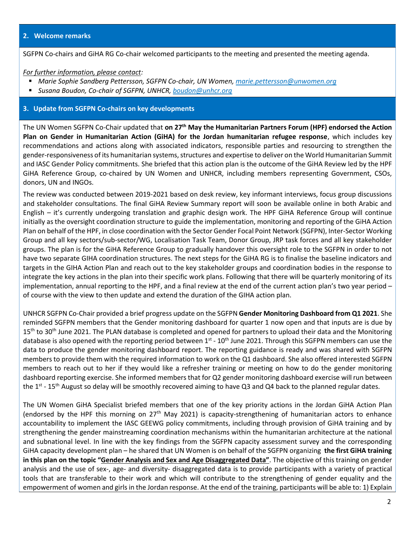SGFPN Co-chairs and GiHA RG Co-chair welcomed participants to the meeting and presented the meeting agenda.

#### *For further information, please contact:*

- *Marie Sophie Sandberg Pettersson, SGFPN Co-chair, UN Women, [marie.pettersson@unwomen.org](mailto:marie.pettersson@unwomen.org)*
- *Susana Boudon, Co-chair of SGFPN, UNHCR, [boudon@unhcr.org](mailto:boudon@unhcr.org)*

#### **3. Update from SGFPN Co-chairs on key developments**

The UN Women SGFPN Co-Chair updated that **on 27th May the Humanitarian Partners Forum (HPF) endorsed the Action Plan on Gender in Humanitarian Action (GiHA) for the Jordan humanitarian refugee response**, which includes key recommendations and actions along with associated indicators, responsible parties and resourcing to strengthen the gender-responsiveness of its humanitarian systems, structures and expertise to deliver on the World Humanitarian Summit and IASC Gender Policy commitments. She briefed that this action plan is the outcome of the GiHA Review led by the HPF GiHA Reference Group, co-chaired by UN Women and UNHCR, including members representing Government, CSOs, donors, UN and INGOs.

The review was conducted between 2019-2021 based on desk review, key informant interviews, focus group discussions and stakeholder consultations. The final GiHA Review Summary report will soon be available online in both Arabic and English – it's currently undergoing translation and graphic design work. The HPF GiHA Reference Group will continue initially as the oversight coordination structure to guide the implementation, monitoring and reporting of the GiHA Action Plan on behalf of the HPF, in close coordination with the Sector Gender Focal Point Network (SGFPN), Inter-Sector Working Group and all key sectors/sub-sector/WG, Localisation Task Team, Donor Group, JRP task forces and all key stakeholder groups. The plan is for the GiHA Reference Group to gradually handover this oversight role to the SGFPN in order to not have two separate GIHA coordination structures. The next steps for the GiHA RG is to finalise the baseline indicators and targets in the GIHA Action Plan and reach out to the key stakeholder groups and coordination bodies in the response to integrate the key actions in the plan into their specific work plans. Following that there will be quarterly monitoring of its implementation, annual reporting to the HPF, and a final review at the end of the current action plan's two year period – of course with the view to then update and extend the duration of the GIHA action plan.

UNHCR SGFPN Co-Chair provided a brief progress update on the SGFPN **Gender Monitoring Dashboard from Q1 2021**. She reminded SGFPN members that the Gender monitoring dashboard for quarter 1 now open and that inputs are is due by  $15<sup>th</sup>$  to 30<sup>th</sup> June 2021. The PLAN database is completed and opened for partners to upload their data and the Monitoring database is also opened with the reporting period between 1<sup>st</sup> - 10<sup>th</sup> June 2021. Through this SGFPN members can use the data to produce the gender monitoring dashboard report. The reporting guidance is ready and was shared with SGFPN members to provide them with the required information to work on the Q1 dashboard. She also offered interested SGFPN members to reach out to her if they would like a refresher training or meeting on how to do the gender monitoring dashboard reporting exercise. She informed membersthat for Q2 gender monitoring dashboard exercise will run between the 1<sup>st</sup> - 15<sup>th</sup> August so delay will be smoothly recovered aiming to have Q3 and Q4 back to the planned regular dates.

The UN Women GiHA Specialist briefed members that one of the key priority actions in the Jordan GiHA Action Plan (endorsed by the HPF this morning on  $27<sup>th</sup>$  May 2021) is capacity-strengthening of humanitarian actors to enhance accountability to implement the IASC GEEWG policy commitments, including through provision of GiHA training and by strengthening the gender mainstreaming coordination mechanisms within the humanitarian architecture at the national and subnational level. In line with the key findings from the SGFPN capacity assessment survey and the corresponding GiHA capacity development plan – he shared that UN Women is on behalf of the SGFPN organizing **the first GiHA training in this plan on the topic "Gender Analysis and Sex and Age Disaggregated Data"**. The objective of this training on gender analysis and the use of sex-, age- and diversity- disaggregated data is to provide participants with a variety of practical tools that are transferable to their work and which will contribute to the strengthening of gender equality and the empowerment of women and girls in the Jordan response. At the end of the training, participants will be able to: 1) Explain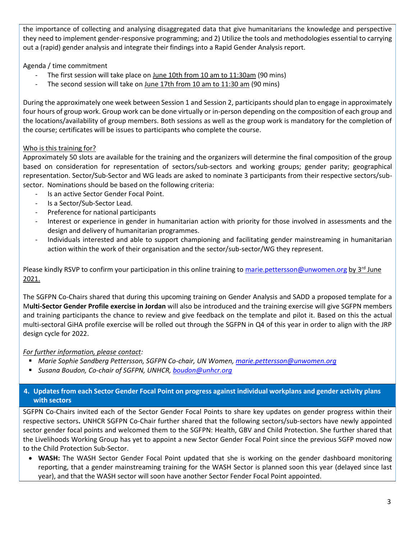the importance of collecting and analysing disaggregated data that give humanitarians the knowledge and perspective they need to implement gender-responsive programming; and 2) Utilize the tools and methodologies essential to carrying out a (rapid) gender analysis and integrate their findings into a Rapid Gender Analysis report.

Agenda / time commitment

- The first session will take place on June 10th from 10 am to 11:30am (90 mins)
- The second session will take on June 17th from 10 am to 11:30 am (90 mins)

During the approximately one week between Session 1 and Session 2, participants should plan to engage in approximately four hours of group work. Group work can be done virtually or in-person depending on the composition of each group and the locations/availability of group members. Both sessions as well as the group work is mandatory for the completion of the course; certificates will be issues to participants who complete the course.

# Who is this training for?

Approximately 50 slots are available for the training and the organizers will determine the final composition of the group based on consideration for representation of sectors/sub-sectors and working groups; gender parity; geographical representation. Sector/Sub-Sector and WG leads are asked to nominate 3 participants from their respective sectors/subsector. Nominations should be based on the following criteria:

- Is an active Sector Gender Focal Point.
- Is a Sector/Sub-Sector Lead.
- Preference for national participants
- Interest or experience in gender in humanitarian action with priority for those involved in assessments and the design and delivery of humanitarian programmes.
- Individuals interested and able to support championing and facilitating gender mainstreaming in humanitarian action within the work of their organisation and the sector/sub-sector/WG they represent.

Please kindly RSVP to confirm your participation in this online training to [marie.pettersson@unwomen.org](mailto:marie.pettersson@unwomen.org) by  $3^{rd}$  June 2021.

The SGFPN Co-Chairs shared that during this upcoming training on Gender Analysis and SADD a proposed template for a M**ulti-Sector Gender Profile exercise in Jordan** will also be introduced and the training exercise will give SGFPN members and training participants the chance to review and give feedback on the template and pilot it. Based on this the actual multi-sectoral GiHA profile exercise will be rolled out through the SGFPN in Q4 of this year in order to align with the JRP design cycle for 2022.

### *For further information, please contact:*

- *Marie Sophie Sandberg Pettersson, SGFPN Co-chair, UN Women, [marie.pettersson@unwomen.org](mailto:marie.pettersson@unwomen.org)*
- *Susana Boudon, Co-chair of SGFPN, UNHCR, [boudon@unhcr.org](mailto:boudon@unhcr.org)*

# **4. Updates from each Sector Gender Focal Point on progress against individual workplans and gender activity plans with sectors**

SGFPN Co-Chairs invited each of the Sector Gender Focal Points to share key updates on gender progress within their respective sectors**.** UNHCR SGFPN Co-Chair further shared that the following sectors/sub-sectors have newly appointed sector gender focal points and welcomed them to the SGFPN: Health, GBV and Child Protection. She further shared that the Livelihoods Working Group has yet to appoint a new Sector Gender Focal Point since the previous SGFP moved now to the Child Protection Sub-Sector.

• **WASH:** The WASH Sector Gender Focal Point updated that she is working on the gender dashboard monitoring reporting, that a gender mainstreaming training for the WASH Sector is planned soon this year (delayed since last year), and that the WASH sector will soon have another Sector Fender Focal Point appointed.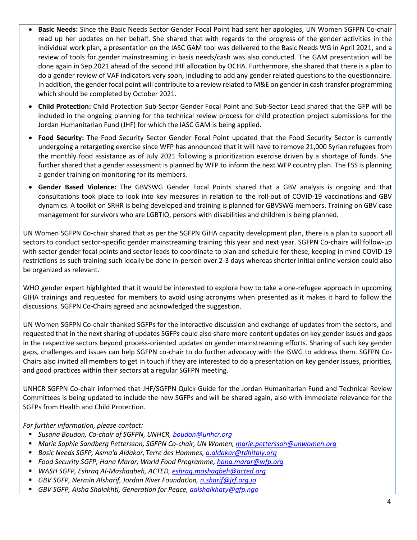- **Basic Needs:** Since the Basic Needs Sector Gender Focal Point had sent her apologies, UN Women SGFPN Co-chair read up her updates on her behalf. She shared that with regards to the progress of the gender activities in the individual work plan, a presentation on the IASC GAM tool was delivered to the Basic Needs WG in April 2021, and a review of tools for gender mainstreaming in basis needs/cash was also conducted. The GAM presentation will be done again in Sep 2021 ahead of the second JHF allocation by OCHA. Furthermore, she shared that there is a plan to do a gender review of VAF indicators very soon, including to add any gender related questions to the questionnaire. In addition, the gender focal point will contribute to a review related to M&E on gender in cash transfer programming which should be completed by October 2021.
- **Child Protection:** Child Protection Sub-Sector Gender Focal Point and Sub-Sector Lead shared that the GFP will be included in the ongoing planning for the technical review process for child protection project submissions for the Jordan Humanitarian Fund (JHF) for which the IASC GAM is being applied.
- **Food Security:** The Food Security Sector Gender Focal Point updated that the Food Security Sector is currently undergoing a retargeting exercise since WFP has announced that it will have to remove 21,000 Syrian refugees from the monthly food assistance as of July 2021 following a prioritization exercise driven by a shortage of funds. She further shared that a gender assessment is planned by WFP to inform the next WFP country plan. The FSS is planning a gender training on monitoring for its members.
- **Gender Based Violence:** The GBVSWG Gender Focal Points shared that a GBV analysis is ongoing and that consultations took place to look into key measures in relation to the roll-out of COVID-19 vaccinations and GBV dynamics. A toolkit on SRHR is being developed and training is planned for GBVSWG members. Training on GBV case management for survivors who are LGBTIQ, persons with disabilities and children is being planned.

UN Women SGFPN Co-chair shared that as per the SGFPN GiHA capacity development plan, there is a plan to support all sectors to conduct sector-specific gender mainstreaming training this year and next year. SGFPN Co-chairs will follow-up with sector gender focal points and sector leads to coordinate to plan and schedule for these, keeping in mind COVID-19 restrictions as such training such ideally be done in-person over 2-3 days whereas shorter initial online version could also be organized as relevant.

WHO gender expert highlighted that it would be interested to explore how to take a one-refugee approach in upcoming GIHA trainings and requested for members to avoid using acronyms when presented as it makes it hard to follow the discussions. SGFPN Co-Chairs agreed and acknowledged the suggestion.

UN Women SGFPN Co-chair thanked SGFPs for the interactive discussion and exchange of updates from the sectors, and requested that in the next sharing of updates SGFPs could also share more content updates on key gender issues and gaps in the respective sectors beyond process-oriented updates on gender mainstreaming efforts. Sharing of such key gender gaps, challenges and issues can help SGFPN co-chair to do further advocacy with the ISWG to address them. SGFPN Co-Chairs also invited all members to get in touch if they are interested to do a presentation on key gender issues, priorities, and good practices within their sectors at a regular SGFPN meeting.

UNHCR SGFPN Co-chair informed that JHF/SGFPN Quick Guide for the Jordan Humanitarian Fund and Technical Review Committees is being updated to include the new SGFPs and will be shared again, also with immediate relevance for the SGFPs from Health and Child Protection.

### *For further information, please contact:*

- *Susana Boudon, Co-chair of SGFPN, UNHCR, [boudon@unhcr.org](mailto:boudon@unhcr.org)*
- Marie Sophie Sandberg Pettersson, SGFPN Co-chair, UN Women, *marie.pettersson@unwomen.org*
- *Basic Needs SGFP, Asma'a Aldakar, Terre des Hommes, [a.aldakar@tdhitaly.org](mailto:a.aldakar@tdhitaly.org)*
- *Food Security SGFP, Hana Marar, World Food Programme[, hana.marar@wfp.org](mailto:hana.marar@wfp.org)*
- *WASH SGFP, Eshraq Al-Mashaqbeh, ACTED[, eshraq.mashaqbeh@acted.org](mailto:eshraq.mashaqbeh@acted.org)*
- *GBV SGFP, Nermin Alsharif, Jordan River Foundation, [n.sharif@jrf.org.jo](mailto:n.sharif@jrf.org.jo)*
- *GBV SGFP, Aisha Shalakhti, Generation for Peace, aalshalkhaty@gfp.ngo*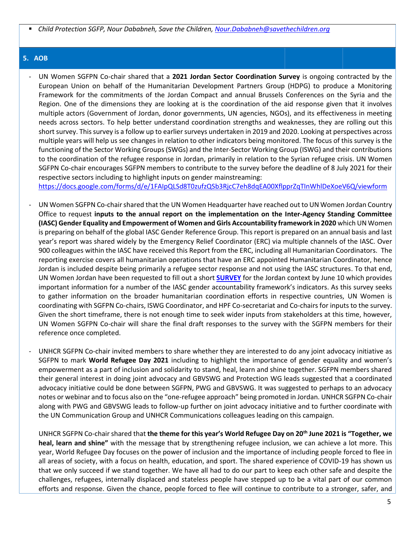▪ *Child Protection SGFP, Nour Dababneh, Save the Children[, Nour.Dababneh@savethechildren.org](mailto:Nour.Dababneh@savethechildren.org)*

### **5. AOB**

- UN Women SGFPN Co-chair shared that a **2021 Jordan Sector Coordination Survey** is ongoing contracted by the European Union on behalf of the Humanitarian Development Partners Group (HDPG) to produce a Monitoring Framework for the commitments of the Jordan Compact and annual Brussels Conferences on the Syria and the Region. One of the dimensions they are looking at is the coordination of the aid response given that it involves multiple actors (Government of Jordan, donor governments, UN agencies, NGOs), and its effectiveness in meeting needs across sectors. To help better understand coordination strengths and weaknesses, they are rolling out this short survey. This survey is a follow up to earlier surveys undertaken in 2019 and 2020. Looking at perspectives across multiple years will help us see changes in relation to other indicators being monitored. The focus of this survey is the functioning of the Sector Working Groups (SWGs) and the Inter-Sector Working Group (ISWG) and their contributions to the coordination of the refugee response in Jordan, primarily in relation to the Syrian refugee crisis. UN Women SGFPN Co-chair encourages SGFPN members to contribute to the survey before the deadline of 8 July 2021 for their respective sectors including to highlight inputs on gender mainstreaming:

<https://docs.google.com/forms/d/e/1FAIpQLSd8T0zufzQSb3RjcC7eh8dqEA00XflpprZqTInWhlDeXoeV6Q/viewform>

- UN Women SGFPN Co-chair shared that the UN Women Headquarter have reached out to UN Women Jordan Country Office to request **inputs to the annual report on the implementation on the Inter-Agency Standing Committee (IASC) Gender Equality and Empowerment of Women and Girls Accountability framework in 2020** which UN Women is preparing on behalf of the global IASC Gender Reference Group. This report is prepared on an annual basis and last year's report was shared widely by the Emergency Relief Coordinator (ERC) via multiple channels of the IASC. Over 900 colleagues within the IASC have received this Report from the ERC, including all Humanitarian Coordinators. The reporting exercise covers all humanitarian operations that have an ERC appointed Humanitarian Coordinator, hence Jordan is included despite being primarily a refugee sector response and not using the IASC structures. To that end, UN Women Jordan have been requested to fill out a short **[SURVEY](https://nam10.safelinks.protection.outlook.com/?url=https%3A%2F%2Fforms.office.com%2Fr%2FcZ6UQsCzvy&data=04%7C01%7Cmarie.pettersson%40unwomen.org%7Ce735fd92e0b9436bfb7708d925b8ab52%7C2bcd07449e18487d85c3c9a325220be8%7C0%7C0%7C637582297422582417%7CUnknown%7CTWFpbGZsb3d8eyJWIjoiMC4wLjAwMDAiLCJQIjoiV2luMzIiLCJBTiI6Ik1haWwiLCJXVCI6Mn0%3D%7C1000&sdata=xPD5NR8ZH5eHtnrpNdnHddASiJSP%2BwkeZGRNxP1tjcI%3D&reserved=0)** for the Jordan context by June 10 which provides important information for a number of the IASC gender accountability framework's indicators. As this survey seeks to gather information on the broader humanitarian coordination efforts in respective countries, UN Women is coordinating with SGFPN Co-chairs, ISWG Coordinator, and HPF Co-secretariat and Co-chairs for inputs to the survey. Given the short timeframe, there is not enough time to seek wider inputs from stakeholders at this time, however, UN Women SGFPN Co-chair will share the final draft responses to the survey with the SGFPN members for their reference once completed.
- UNHCR SGFPN Co-chair invited members to share whether they are interested to do any joint advocacy initiative as SGFPN to mark **World Refugee Day 2021** including to highlight the importance of gender equality and women's empowerment as a part of inclusion and solidarity to stand, heal, learn and shine together. SGFPN members shared their general interest in doing joint advocacy and GBVSWG and Protection WG leads suggested that a coordinated advocacy initiative could be done between SGFPN, PWG and GBVSWG. It was suggested to perhaps to an advocacy notes or webinar and to focus also on the "one-refugee approach" being promoted in Jordan. UNHCR SGFPN Co-chair along with PWG and GBVSWG leads to follow-up further on joint advocacy initiative and to further coordinate with the UN Communication Group and UNHCR Communications colleagues leading on this campaign.

UNHCR SGFPN Co-chair shared that **the theme for this year's World Refugee Day on 20th June 2021 is "Together, we heal, learn and shine"** with the message that by strengthening refugee inclusion, we can achieve a lot more. This year, World Refugee Day focuses on the power of inclusion and the importance of including people forced to flee in all areas of society, with a focus on health, education, and sport. The shared experience of COVID-19 has shown us that we only succeed if we stand together. We have all had to do our part to keep each other safe and despite the challenges, refugees, internally displaced and stateless people have stepped up to be a vital part of our common efforts and response. Given the chance, people forced to flee will continue to contribute to a stronger, safer, and